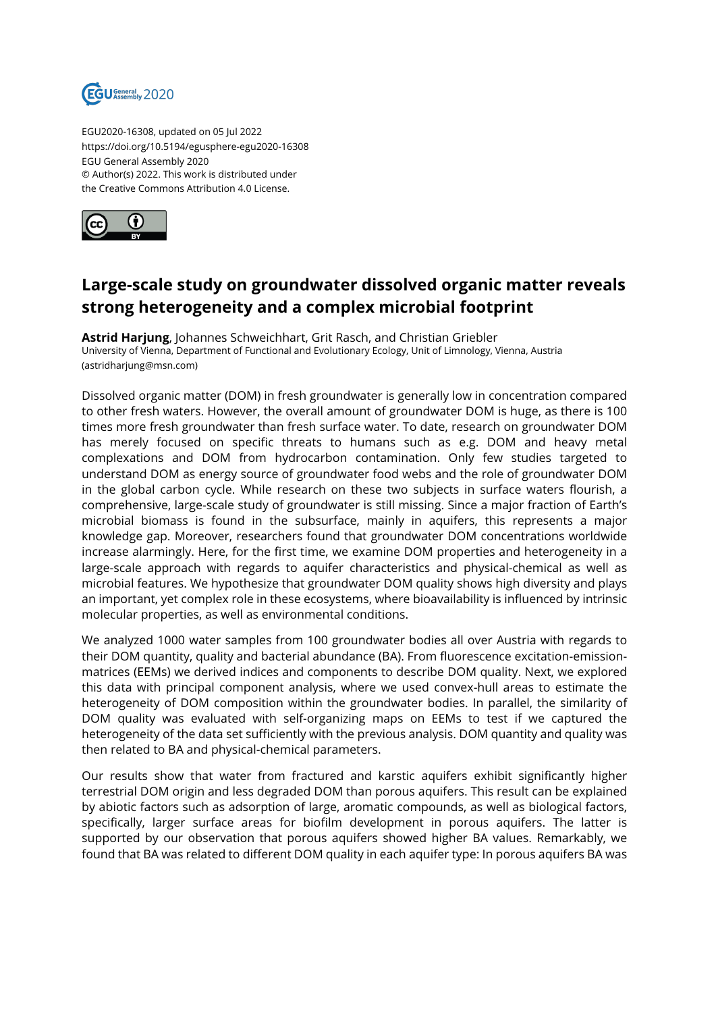

EGU2020-16308, updated on 05 Jul 2022 https://doi.org/10.5194/egusphere-egu2020-16308 EGU General Assembly 2020 © Author(s) 2022. This work is distributed under the Creative Commons Attribution 4.0 License.



## **Large-scale study on groundwater dissolved organic matter reveals strong heterogeneity and a complex microbial footprint**

**Astrid Harjung**, Johannes Schweichhart, Grit Rasch, and Christian Griebler University of Vienna, Department of Functional and Evolutionary Ecology, Unit of Limnology, Vienna, Austria (astridharjung@msn.com)

Dissolved organic matter (DOM) in fresh groundwater is generally low in concentration compared to other fresh waters. However, the overall amount of groundwater DOM is huge, as there is 100 times more fresh groundwater than fresh surface water. To date, research on groundwater DOM has merely focused on specific threats to humans such as e.g. DOM and heavy metal complexations and DOM from hydrocarbon contamination. Only few studies targeted to understand DOM as energy source of groundwater food webs and the role of groundwater DOM in the global carbon cycle. While research on these two subjects in surface waters flourish, a comprehensive, large-scale study of groundwater is still missing. Since a major fraction of Earth's microbial biomass is found in the subsurface, mainly in aquifers, this represents a major knowledge gap. Moreover, researchers found that groundwater DOM concentrations worldwide increase alarmingly. Here, for the first time, we examine DOM properties and heterogeneity in a large-scale approach with regards to aquifer characteristics and physical-chemical as well as microbial features. We hypothesize that groundwater DOM quality shows high diversity and plays an important, yet complex role in these ecosystems, where bioavailability is influenced by intrinsic molecular properties, as well as environmental conditions.

We analyzed 1000 water samples from 100 groundwater bodies all over Austria with regards to their DOM quantity, quality and bacterial abundance (BA). From fluorescence excitation-emissionmatrices (EEMs) we derived indices and components to describe DOM quality. Next, we explored this data with principal component analysis, where we used convex-hull areas to estimate the heterogeneity of DOM composition within the groundwater bodies. In parallel, the similarity of DOM quality was evaluated with self-organizing maps on EEMs to test if we captured the heterogeneity of the data set sufficiently with the previous analysis. DOM quantity and quality was then related to BA and physical-chemical parameters.

Our results show that water from fractured and karstic aquifers exhibit significantly higher terrestrial DOM origin and less degraded DOM than porous aquifers. This result can be explained by abiotic factors such as adsorption of large, aromatic compounds, as well as biological factors, specifically, larger surface areas for biofilm development in porous aquifers. The latter is supported by our observation that porous aquifers showed higher BA values. Remarkably, we found that BA was related to different DOM quality in each aquifer type: In porous aquifers BA was